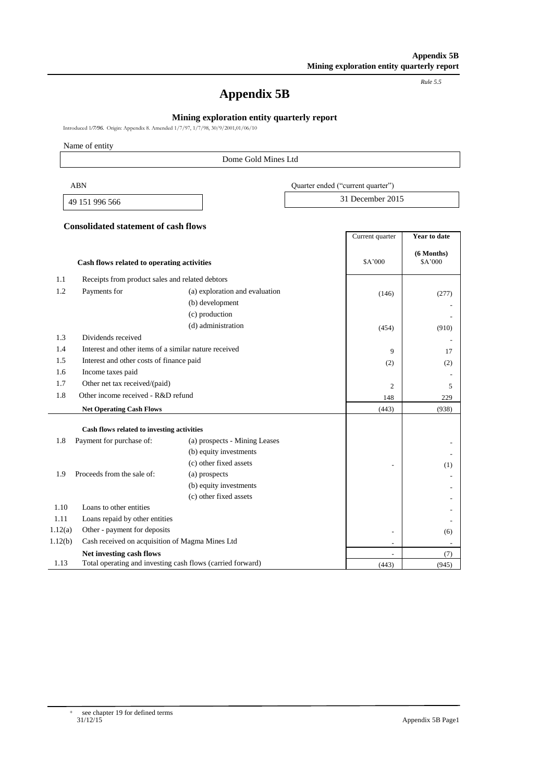*Rule 5.5*

# **Appendix 5B**

## **Mining exploration entity quarterly report**

Introduced 1*/7/96.* Origin: Appendix 8. Amended 1/7/97, 1/7/98, 30/9/2001,01/06/10

Name of entity

## Dome Gold Mines Ltd

| ABN            | Quarter ended ("current quarter") |
|----------------|-----------------------------------|
| 49 151 996 566 | 31 December 2015                  |

#### **Consolidated statement of cash flows**

|         |                                                            |                                | Current quarter | <b>Year to date</b>     |
|---------|------------------------------------------------------------|--------------------------------|-----------------|-------------------------|
|         | Cash flows related to operating activities                 |                                | \$A'000         | $(6$ Months)<br>\$A'000 |
| 1.1     | Receipts from product sales and related debtors            |                                |                 |                         |
| 1.2     | Payments for                                               | (a) exploration and evaluation | (146)           | (277)                   |
|         |                                                            | (b) development                |                 |                         |
|         |                                                            | (c) production                 |                 |                         |
|         |                                                            | (d) administration             | (454)           | (910)                   |
| 1.3     | Dividends received                                         |                                |                 |                         |
| 1.4     | Interest and other items of a similar nature received      |                                | 9               | 17                      |
| 1.5     | Interest and other costs of finance paid                   |                                | (2)             | (2)                     |
| 1.6     | Income taxes paid                                          |                                |                 |                         |
| 1.7     | Other net tax received/(paid)                              |                                | $\overline{2}$  | 5                       |
| 1.8     | Other income received - $R&D$ refund                       |                                | 148             | 229                     |
|         | <b>Net Operating Cash Flows</b>                            |                                | (443)           | (938)                   |
|         | Cash flows related to investing activities                 |                                |                 |                         |
| 1.8     | Payment for purchase of:                                   | (a) prospects - Mining Leases  |                 |                         |
|         |                                                            | (b) equity investments         |                 |                         |
|         |                                                            | (c) other fixed assets         |                 | (1)                     |
| 1.9     | Proceeds from the sale of:                                 | (a) prospects                  |                 |                         |
|         |                                                            | (b) equity investments         |                 |                         |
|         |                                                            | (c) other fixed assets         |                 |                         |
| 1.10    | Loans to other entities                                    |                                |                 |                         |
| 1.11    | Loans repaid by other entities                             |                                |                 |                         |
| 1.12(a) | Other - payment for deposits                               |                                |                 | (6)                     |
| 1.12(b) | Cash received on acquisition of Magma Mines Ltd            |                                |                 |                         |
|         | Net investing cash flows                                   |                                | $\overline{a}$  | (7)                     |
| 1.13    | Total operating and investing cash flows (carried forward) |                                | (443)           | (945)                   |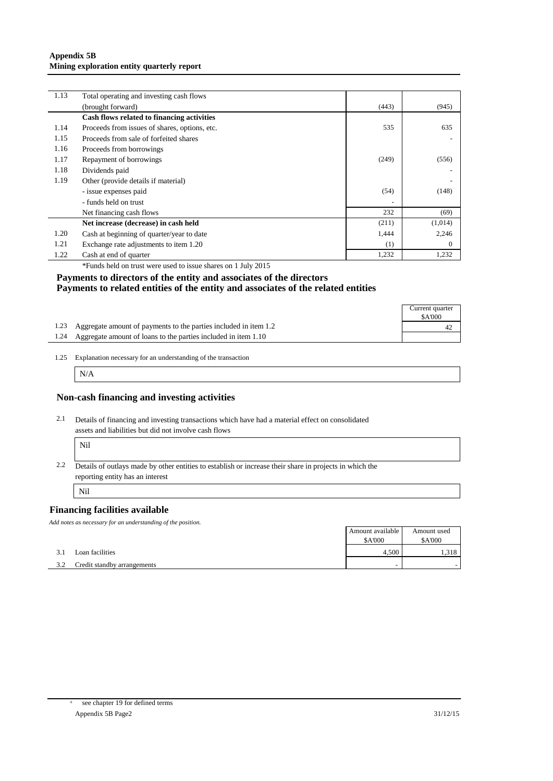#### **Appendix 5B Mining exploration entity quarterly report**

| 1.13 | Total operating and investing cash flows      |       |          |
|------|-----------------------------------------------|-------|----------|
|      | (brought forward)                             | (443) | (945)    |
|      | Cash flows related to financing activities    |       |          |
| 1.14 | Proceeds from issues of shares, options, etc. | 535   | 635      |
| 1.15 | Proceeds from sale of forfeited shares        |       |          |
| 1.16 | Proceeds from borrowings                      |       |          |
| 1.17 | Repayment of borrowings                       | (249) | (556)    |
| 1.18 | Dividends paid                                |       |          |
| 1.19 | Other (provide details if material)           |       |          |
|      | - issue expenses paid                         | (54)  | (148)    |
|      | - funds held on trust                         |       |          |
|      | Net financing cash flows                      | 232   | (69)     |
|      | Net increase (decrease) in cash held          | (211) | (1,014)  |
| 1.20 | Cash at beginning of quarter/year to date     | 1,444 | 2,246    |
| 1.21 | Exchange rate adjustments to item 1.20        | (1)   | $\Omega$ |
| 1.22 | Cash at end of quarter                        | 1,232 | 1,232    |

\*Funds held on trust were used to issue shares on 1 July 2015

#### **Payments to directors of the entity and associates of the directors Payments to related entities of the entity and associates of the related entities**

|                                                                       | Current quarter<br><b>\$A'000</b> |
|-----------------------------------------------------------------------|-----------------------------------|
| 1.23 Aggregate amount of payments to the parties included in item 1.2 | 42                                |
| 1.24 Aggregate amount of loans to the parties included in item 1.10   |                                   |

<sup>1.25</sup> Explanation necessary for an understanding of the transaction

N/A

#### **Non-cash financing and investing activities**

2.1 Details of financing and investing transactions which have had a material effect on consolidated assets and liabilities but did not involve cash flows r

| × |  |
|---|--|
|---|--|

2.2 Details of outlays made by other entities to establish or increase their share in projects in which the reporting entity has an interest

Nil

## **Financing facilities available**

*Add notes as necessary for an understanding of the position.*

|     |                             | Amount available | Amount used   |
|-----|-----------------------------|------------------|---------------|
|     |                             | <b>\$A'000</b>   | <b>SA'000</b> |
| 3.1 | Loan facilities             | 4.500            | . 318         |
| 3.2 | Credit standby arrangements |                  |               |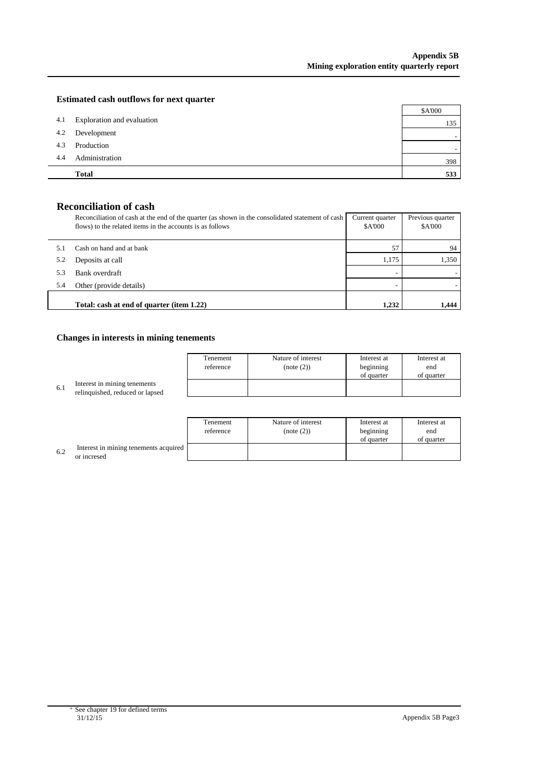## **Estimated cash outflows for next quarter**

|     | <b>Total</b>               | 533     |
|-----|----------------------------|---------|
| 4.4 | Administration             | 398     |
| 4.3 | Production                 |         |
| 4.2 | Development                |         |
| 4.1 | Exploration and evaluation | 135     |
|     |                            | \$A'000 |

# **Reconciliation of cash**

|     | Reconciliation of cash at the end of the quarter (as shown in the consolidated statement of cash<br>flows) to the related items in the accounts is as follows | Current quarter<br><b>\$A'000</b> | Previous quarter<br>\$A'000 |
|-----|---------------------------------------------------------------------------------------------------------------------------------------------------------------|-----------------------------------|-----------------------------|
|     | Cash on hand and at bank                                                                                                                                      | 57                                | 94                          |
| 5.2 | Deposits at call                                                                                                                                              | 1.175                             | 1.350                       |
| 5.3 | Bank overdraft                                                                                                                                                |                                   |                             |
| 5.4 | Other (provide details)                                                                                                                                       |                                   |                             |
|     | Total: cash at end of quarter (item 1.22)                                                                                                                     | 1.232                             | 1.444                       |

## **Changes in interests in mining tenements**

|     |                                                                 | Tenement<br>reference | Nature of interest<br>(note (2)) | Interest at<br>beginning | Interest at<br>end |
|-----|-----------------------------------------------------------------|-----------------------|----------------------------------|--------------------------|--------------------|
|     |                                                                 |                       |                                  | of quarter               | of quarter         |
| 6.1 | Interest in mining tenements<br>relinquished, reduced or lapsed |                       |                                  |                          |                    |
|     |                                                                 |                       |                                  |                          |                    |

|     |                                                      | Tenement<br>reference | Nature of interest<br>(note (2)) | Interest at<br>beginning<br>of quarter | Interest at<br>end<br>of quarter |
|-----|------------------------------------------------------|-----------------------|----------------------------------|----------------------------------------|----------------------------------|
| 6.2 | Interest in mining tenements acquired<br>or incresed |                       |                                  |                                        |                                  |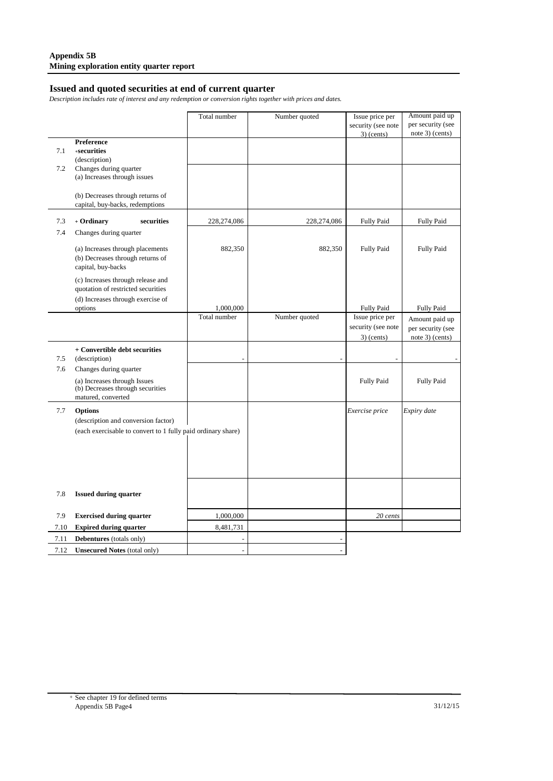# **Issued and quoted securities at end of current quarter**

*Description includes rate of interest and any redemption or conversion rights together with prices and dates.*

|      |                                                              | Total number   | Number quoted | Issue price per    | Amount paid up    |
|------|--------------------------------------------------------------|----------------|---------------|--------------------|-------------------|
|      |                                                              |                |               | security (see note | per security (see |
|      |                                                              |                |               | $3)$ (cents)       | note 3) (cents)   |
|      | Preference<br>+securities                                    |                |               |                    |                   |
| 7.1  | (description)                                                |                |               |                    |                   |
| 7.2  | Changes during quarter                                       |                |               |                    |                   |
|      | (a) Increases through issues                                 |                |               |                    |                   |
|      |                                                              |                |               |                    |                   |
|      | (b) Decreases through returns of                             |                |               |                    |                   |
|      | capital, buy-backs, redemptions                              |                |               |                    |                   |
| 7.3  | + Ordinary<br>securities                                     | 228,274,086    | 228,274,086   | <b>Fully Paid</b>  | <b>Fully Paid</b> |
| 7.4  | Changes during quarter                                       |                |               |                    |                   |
|      |                                                              |                |               |                    |                   |
|      | (a) Increases through placements                             | 882,350        | 882,350       | <b>Fully Paid</b>  | <b>Fully Paid</b> |
|      | (b) Decreases through returns of                             |                |               |                    |                   |
|      | capital, buy-backs                                           |                |               |                    |                   |
|      | (c) Increases through release and                            |                |               |                    |                   |
|      | quotation of restricted securities                           |                |               |                    |                   |
|      | (d) Increases through exercise of                            |                |               |                    |                   |
|      | options                                                      | 1,000,000      |               | <b>Fully Paid</b>  | <b>Fully Paid</b> |
|      |                                                              | Total number   | Number quoted | Issue price per    | Amount paid up    |
|      |                                                              |                |               | security (see note | per security (see |
|      |                                                              |                |               | $3)$ (cents)       | note 3) (cents)   |
|      | + Convertible debt securities                                |                |               |                    |                   |
| 7.5  | (description)                                                |                |               |                    |                   |
| 7.6  | Changes during quarter                                       |                |               |                    |                   |
|      | (a) Increases through Issues                                 |                |               | <b>Fully Paid</b>  | <b>Fully Paid</b> |
|      | (b) Decreases through securities                             |                |               |                    |                   |
|      | matured, converted                                           |                |               |                    |                   |
| 7.7  | <b>Options</b>                                               |                |               | Exercise price     | Expiry date       |
|      | (description and conversion factor)                          |                |               |                    |                   |
|      | (each exercisable to convert to 1 fully paid ordinary share) |                |               |                    |                   |
|      |                                                              |                |               |                    |                   |
|      |                                                              |                |               |                    |                   |
|      |                                                              |                |               |                    |                   |
|      |                                                              |                |               |                    |                   |
|      |                                                              |                |               |                    |                   |
| 7.8  | <b>Issued during quarter</b>                                 |                |               |                    |                   |
|      |                                                              |                |               |                    |                   |
| 7.9  | <b>Exercised during quarter</b>                              | 1,000,000      |               | 20 cents           |                   |
| 7.10 | <b>Expired during quarter</b>                                | 8,481,731      |               |                    |                   |
| 7.11 | Debentures (totals only)                                     |                |               |                    |                   |
| 7.12 | <b>Unsecured Notes (total only)</b>                          | $\overline{a}$ |               |                    |                   |